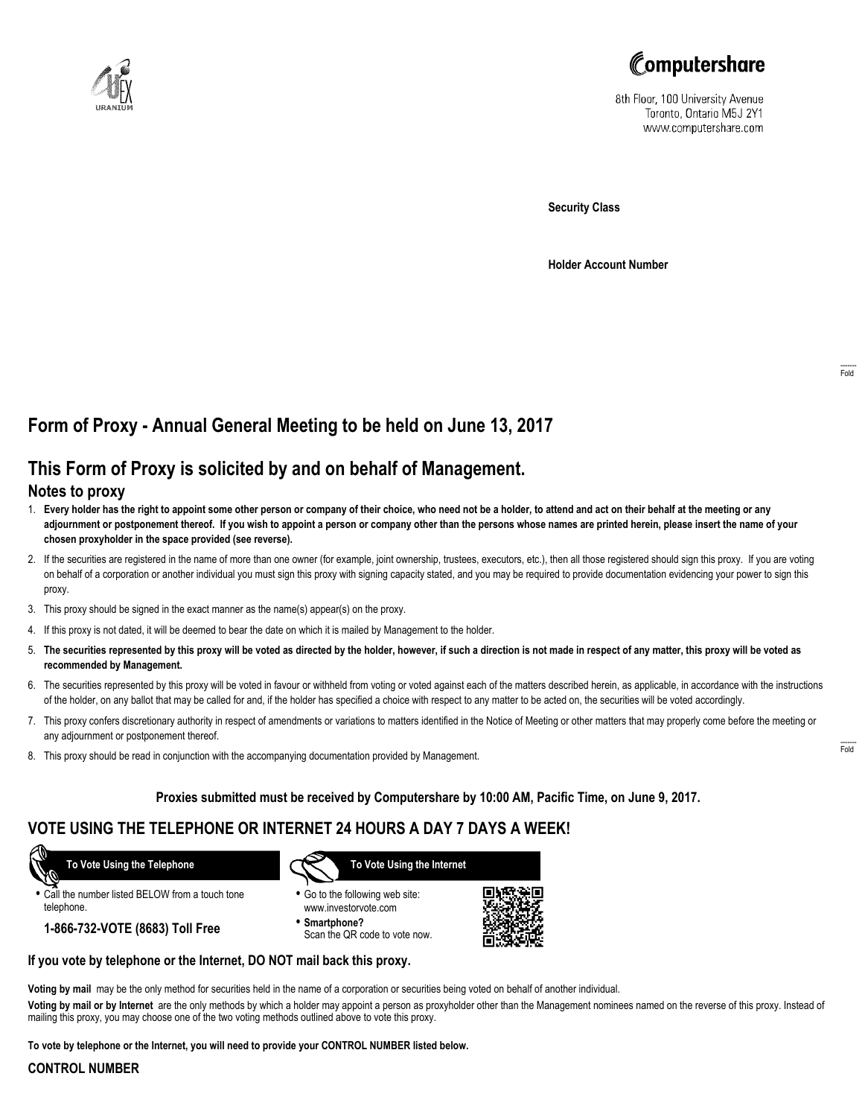



8th Floor, 100 University Avenue Toronto, Ontario M5J 2Y1 www.computershare.com

**Security Class**

**Holder Account Number**

# **Form of Proxy - Annual General Meeting to be held on June 13, 2017**

# **This Form of Proxy is solicited by and on behalf of Management.**

## **Notes to proxy**

- 1. **Every holder has the right to appoint some other person or company of their choice, who need not be a holder, to attend and act on their behalf at the meeting or any adjournment or postponement thereof. If you wish to appoint a person or company other than the persons whose names are printed herein, please insert the name of your chosen proxyholder in the space provided (see reverse).**
- 2. If the securities are registered in the name of more than one owner (for example, joint ownership, trustees, executors, etc.), then all those registered should sign this proxy. If you are voting on behalf of a corporation or another individual you must sign this proxy with signing capacity stated, and you may be required to provide documentation evidencing your power to sign this proxy.
- 3. This proxy should be signed in the exact manner as the name(s) appear(s) on the proxy.
- 4. If this proxy is not dated, it will be deemed to bear the date on which it is mailed by Management to the holder.
- 5. **The securities represented by this proxy will be voted as directed by the holder, however, if such a direction is not made in respect of any matter, this proxy will be voted as recommended by Management.**
- 6. The securities represented by this proxy will be voted in favour or withheld from voting or voted against each of the matters described herein, as applicable, in accordance with the instructions of the holder, on any ballot that may be called for and, if the holder has specified a choice with respect to any matter to be acted on, the securities will be voted accordingly.
- 7. This proxy confers discretionary authority in respect of amendments or variations to matters identified in the Notice of Meeting or other matters that may properly come before the meeting or any adjournment or postponement thereof.
- 8. This proxy should be read in conjunction with the accompanying documentation provided by Management.

### **Proxies submitted must be received by Computershare by 10:00 AM, Pacific Time, on June 9, 2017.**

## **VOTE USING THE TELEPHONE OR INTERNET 24 HOURS A DAY 7 DAYS A WEEK!**

 **To Vote Using the Telephone**

- **•** Call the number listed BELOW from a touch tone telephone.
	- **1-866-732-VOTE (8683) Toll Free**



- **•** Go to the following web site: www.investorvote.com
- **• Smartphone?** Scan the QR code to vote now.



## **If you vote by telephone or the Internet, DO NOT mail back this proxy.**

**Voting by mail** may be the only method for securities held in the name of a corporation or securities being voted on behalf of another individual.

**Voting by mail or by Internet** are the only methods by which a holder may appoint a person as proxyholder other than the Management nominees named on the reverse of this proxy. Instead of mailing this proxy, you may choose one of the two voting methods outlined above to vote this proxy.

**To vote by telephone or the Internet, you will need to provide your CONTROL NUMBER listed below.**

#### **CONTROL NUMBER**